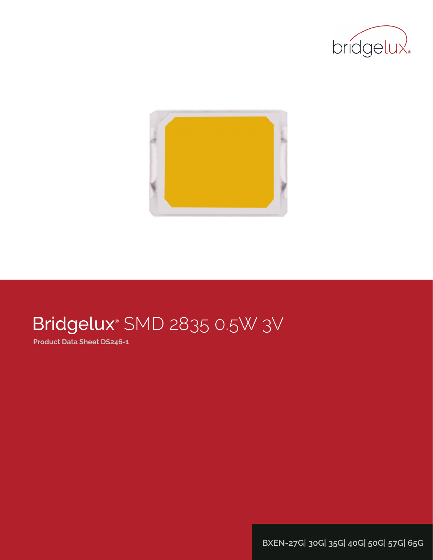



# Bridgelux® SMD 2835 0.5W 3V

**Product Data Sheet DS246-1**

**BXEN-27G| 30G| 35G| 40G| 50G| 57G| 65G**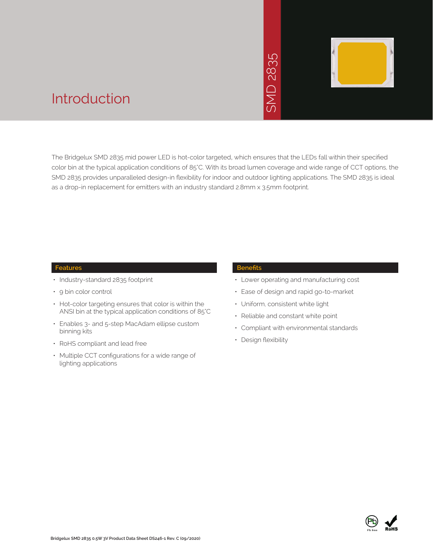

### Introduction

The Bridgelux SMD 2835 mid power LED is hot-color targeted, which ensures that the LEDs fall within their specified color bin at the typical application conditions of 85°C. With its broad lumen coverage and wide range of CCT options, the SMD 2835 provides unparalleled design-in flexibility for indoor and outdoor lighting applications. The SMD 2835 is ideal as a drop-in replacement for emitters with an industry standard 2.8mm x 3.5mm footprint.<br>The Bridgelux SMD 2835 mid power LED is hot-color targeted, which ensures that the LEI<br>Color bin at the typical application condition

#### **Features**

- Industry-standard 2835 footprint
- 9 bin color control
- Hot-color targeting ensures that color is within the ANSI bin at the typical application conditions of 85°C
- Enables 3- and 5-step MacAdam ellipse custom binning kits
- RoHS compliant and lead free
- Multiple CCT configurations for a wide range of lighting applications

#### **Benefits**

- Lower operating and manufacturing cost
- Ease of design and rapid go-to-market
- Uniform, consistent white light
- Reliable and constant white point
- Compliant with environmental standards
- Design flexibility

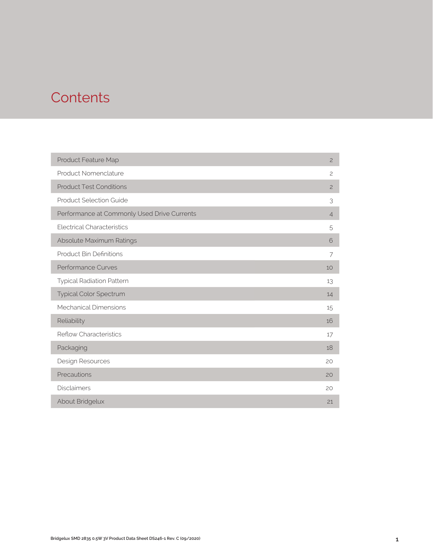### **Contents**

| Product Feature Map                         | $\overline{c}$ |
|---------------------------------------------|----------------|
| Product Nomenclature                        | $\overline{c}$ |
| <b>Product Test Conditions</b>              | $\overline{c}$ |
| <b>Product Selection Guide</b>              | 3              |
| Performance at Commonly Used Drive Currents | $\overline{4}$ |
| <b>Electrical Characteristics</b>           | 5              |
| Absolute Maximum Ratings                    | 6              |
| <b>Product Bin Definitions</b>              | 7              |
| Performance Curves                          | 10             |
| <b>Typical Radiation Pattern</b>            | 13             |
| Typical Color Spectrum                      | 14             |
| Mechanical Dimensions                       | 15             |
| Reliability                                 | 16             |
| <b>Reflow Characteristics</b>               | 17             |
| Packaging                                   | 18             |
| Design Resources                            | 20             |
| Precautions                                 | 20             |
| <b>Disclaimers</b>                          | 20             |
| About Bridgelux                             | 21             |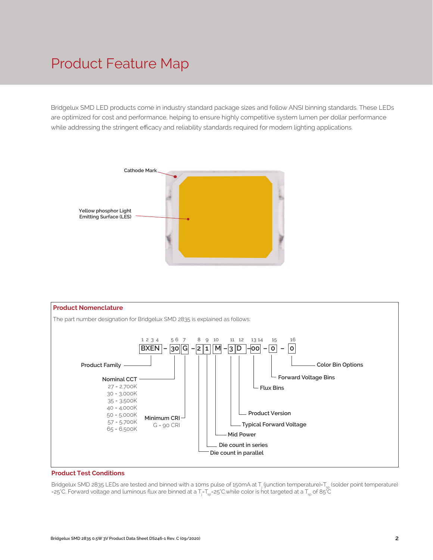### Product Feature Map

Bridgelux SMD LED products come in industry standard package sizes and follow ANSI binning standards. These LEDs are optimized for cost and performance, helping to ensure highly competitive system lumen per dollar performance while addressing the stringent efficacy and reliability standards required for modern lighting applications.





#### **Product Test Conditions**

Bridgelux SMD 2835 LEDs are tested and binned with a 10ms pulse of 150mA at T<sub>i</sub> (junction temperature)=T<sub>s</sub>, (solder point temperature) =25°C. Forward voltage and luminous flux are binned at a  $\sf{T}_{j}\sf{-} \sf{T}_{sp}$  =25°C.while color is hot targeted at a  $\sf{T}_{sp}$  of 85°C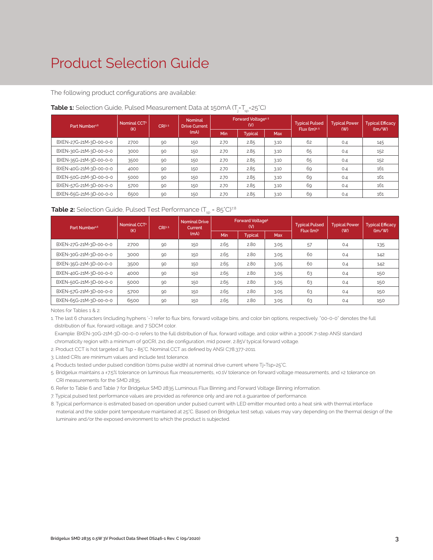### Product Selection Guide

The following product configurations are available:

| Part Number <sup>1,6</sup> | Nominal CCT <sup>2</sup><br>CRI3.5 |    | <b>Nominal</b><br><b>Drive Current</b> |      | <b>Forward Voltage4.5</b><br>(V) |            | <b>Typical Pulsed</b><br>Flux $(lm)^{4.5}$ | <b>Typical Power</b><br>(W) | <b>Typical Efficacy</b><br>$\langle \text{Im}/\text{W} \rangle$ |
|----------------------------|------------------------------------|----|----------------------------------------|------|----------------------------------|------------|--------------------------------------------|-----------------------------|-----------------------------------------------------------------|
|                            | (K)                                |    | (mA)                                   | Min  | <b>Typical</b>                   | <b>Max</b> |                                            |                             |                                                                 |
| BXEN-27G-21M-3D-00-0-0     | 2700                               | 90 | 150                                    | 2.70 | 2.85                             | 3.10       | 62                                         | 0.4                         | 145                                                             |
| BXEN-30G-21M-3D-00-0-0     | 3000                               | 90 | 150                                    | 2.70 | 2.85                             | 3.10       | 65                                         | 0.4                         | 152                                                             |
| BXEN-35G-21M-3D-00-0-0     | 3500                               | 90 | 150                                    | 2.70 | 2.85                             | 3.10       | 65                                         | 0.4                         | 152                                                             |
| BXEN-40G-21M-3D-00-0-0     | 4000                               | 90 | 150                                    | 2.70 | 2.85                             | 3.10       | 69                                         | 0.4                         | 161                                                             |
| BXEN-50G-21M-3D-00-0-0     | 5000                               | 90 | 150                                    | 2.70 | 2.85                             | 3.10       | 69                                         | 0.4                         | 161                                                             |
| BXEN-57G-21M-3D-00-0-0     | 5700                               | 90 | 150                                    | 2.70 | 2.85                             | 3.10       | 69                                         | 0.4                         | 161                                                             |
| BXEN-65G-21M-3D-00-0-0     | 6500                               | 90 | 150                                    | 2.70 | 2.85                             | 3.10       | 69                                         | 0.4                         | 161                                                             |

#### **Table 1:** Selection Guide, Pulsed Measurement Data at 150mA (T<sub>j</sub>=T<sub>sp</sub>=25°C)

### **Table 2:** Selection Guide, Pulsed Test Performance  $(T_{\rm so} = 85^{\circ}C)^{7,8}$

| Part Number <sup>1,6</sup> | Nominal CCT <sup>2</sup><br>(K) | CR13.5 | <b>Nominal Drive</b><br>Current |                       | <b>Forward Voltage<sup>5</sup></b><br>(V) |            | <b>Typical Pulsed</b><br>Flux (lm) <sup>5</sup> | <b>Typical Power</b><br>( W ) | <b>Typical Efficacy</b><br>$\langle \text{Im}/\text{W} \rangle$ |  |
|----------------------------|---------------------------------|--------|---------------------------------|-----------------------|-------------------------------------------|------------|-------------------------------------------------|-------------------------------|-----------------------------------------------------------------|--|
|                            |                                 |        | (mA)                            | Min<br><b>Typical</b> |                                           | <b>Max</b> |                                                 |                               |                                                                 |  |
| BXEN-27G-21M-3D-00-0-0     | 2700                            | 90     | 150                             | 2.65                  | 2.80                                      | 3.05       | 57                                              | 0.4                           | 135                                                             |  |
| BXEN-30G-21M-3D-00-0-0     | 3000                            | 90     | 150                             | 2.65                  | 2.80                                      | 3.05       | 60                                              | 0.4                           | 142                                                             |  |
| BXEN-35G-21M-3D-00-0-0     | 3500                            | 90     | 150                             | 2.65                  | 2.80                                      | 3.05       | 60                                              | 0.4                           | 142                                                             |  |
| BXEN-40G-21M-3D-00-0-0     | 4000                            | 90     | 150                             | 2.65                  | 2.80                                      | 3.05       | 63                                              | 0.4                           | 150                                                             |  |
| BXEN-50G-21M-3D-00-0-0     | 5000                            | 90     | 150                             | 2.65                  | 2.80                                      | 3.05       | 63                                              | 0.4                           | 150                                                             |  |
| BXEN-57G-21M-3D-00-0-0     | 5700                            | 90     | 150                             | 2.65                  | 2.80                                      | 3.05       | 63                                              | 0.4                           | 150                                                             |  |
| BXEN-65G-21M-3D-00-0-0     | 6500                            | 90     | 150                             | 2.65                  | 2.80                                      | 3.05       | 63                                              | 0.4                           | 150                                                             |  |

Notes for Tables 1 & 2:

1. The last 6 characters (including hyphens '-') refer to flux bins, forward voltage bins, and color bin options, respectively. "00-0-0" denotes the full distribution of flux, forward voltage, and 7 SDCM color.

 Example: BXEN-30G-21M-3D-00-0-0 refers to the full distribution of flux, forward voltage, and color within a 3000K 7-step ANSI standard chromaticity region with a minimum of 90CRI, 2x1 die configuration, mid power, 2.85V typical forward voltage.

2. Product CCT is hot targeted at Tsp = 85°C. Nominal CCT as defined by ANSI C78.377-2011.

3. Listed CRIs are minimum values and include test tolerance.

4. Products tested under pulsed condition (10ms pulse width) at nominal drive current where Tj-Tsp=25°C.

5. Bridgelux maintains a ±7.5% tolerance on luminous flux measurements, ±0.1V tolerance on forward voltage measurements, and ±2 tolerance on CRI measurements for the SMD 2835.

6. Refer to Table 6 and Table 7 for Bridgelux SMD 2835 Luminous Flux Binning and Forward Voltage Binning information.

7. Typical pulsed test performance values are provided as reference only and are not a guarantee of performance.

8. Typical performance is estimated based on operation under pulsed current with LED emitter mounted onto a heat sink with thermal interface material and the solder point temperature maintained at 25°C. Based on Bridgelux test setup, values may vary depending on the thermal design of the luminaire and/or the exposed environment to which the product is subjected.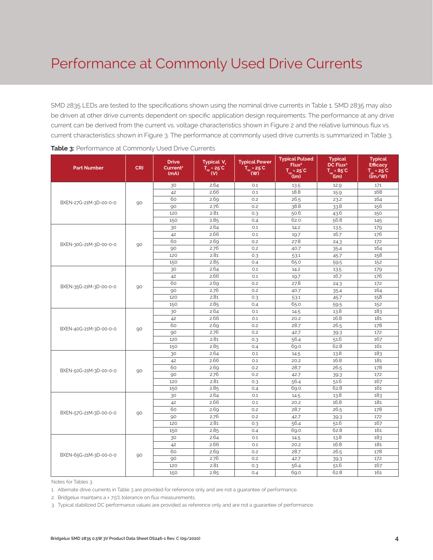### Performance at Commonly Used Drive Currents

SMD 2835 LEDs are tested to the specifications shown using the nominal drive currents in Table 1. SMD 2835 may also be driven at other drive currents dependent on specific application design requirements. The performance at any drive current can be derived from the current vs. voltage characteristics shown in Figure 2 and the relative luminous flux vs. current characteristics shown in Figure 3. The performance at commonly used drive currents is summarized in Table 3.

| <b>Part Number</b>     | <b>CRI</b> | <b>Drive</b><br>Current <sup>1</sup><br>(mA) | Typical V.<br>$T_{\rm sn}$ = 25°C<br>(V) | <b>Typical Power</b><br>$\overline{T_{\rm sp}}$ = 25 <sup>°</sup> C<br>(W) | <b>Typical Pulsed</b><br>Flux <sup>2</sup><br>$T_{sp} = 25^{\circ}C$<br>(Im) | <b>Typical</b><br>DC Flux <sup>3</sup><br>$T_{\dots} = 85^{\circ}C$<br>$(l_m)$ | <b>Typical</b><br><b>Efficacy</b><br>$T_{-}$ = 25°C<br>$(\mathbf{m} / \mathbf{W})$ |
|------------------------|------------|----------------------------------------------|------------------------------------------|----------------------------------------------------------------------------|------------------------------------------------------------------------------|--------------------------------------------------------------------------------|------------------------------------------------------------------------------------|
|                        |            | 30                                           | 2.64                                     | O.1                                                                        | 13.5                                                                         | 12.9                                                                           | 171                                                                                |
|                        |            | 42                                           | 2.66                                     | 0.1                                                                        | 18.8                                                                         | 15.9                                                                           | 168                                                                                |
|                        |            | 60                                           | 2.69                                     | 0.2                                                                        | 26.5                                                                         | 23.2                                                                           | 164                                                                                |
| BXEN-27G-21M-3D-00-0-0 | 90         | 90                                           | 2.76                                     | 0.2                                                                        | 38.8                                                                         | 33.8                                                                           | 156                                                                                |
|                        |            | 120                                          | 2.81                                     | 0.3                                                                        | 50.6                                                                         | 43.6                                                                           | 150                                                                                |
|                        |            | 150                                          | 2.85                                     | 0.4                                                                        | 62.0                                                                         | 56.8                                                                           | 145                                                                                |
|                        |            | 30                                           | 2.64                                     | O.1                                                                        | 14.2                                                                         | 13.5                                                                           | 179                                                                                |
|                        |            | 42                                           | 2.66                                     | O.1                                                                        | 19.7                                                                         | 16.7                                                                           | 176                                                                                |
|                        |            | 60                                           | 2.69                                     | 0.2                                                                        | 27.8                                                                         | 24.3                                                                           | 172                                                                                |
| BXEN-30G-21M-3D-00-0-0 | 90         | 90                                           | 2.76                                     | 0.2                                                                        | 40.7                                                                         | 35.4                                                                           | 164                                                                                |
|                        |            | 120                                          | 2.81                                     | 0.3                                                                        | 53.1                                                                         | 45.7                                                                           | 158                                                                                |
|                        |            | 150                                          | 2.85                                     | 0.4                                                                        | 65.0                                                                         | 59.5                                                                           | 152                                                                                |
|                        |            | 30                                           | 2.64                                     | 0.1                                                                        | 14.2                                                                         | 13.5                                                                           | 179                                                                                |
|                        |            | 42                                           | 2.66                                     | 0.1                                                                        | 19.7                                                                         | 16.7                                                                           | 176                                                                                |
|                        |            | 60                                           | 2.69                                     | 0.2                                                                        | 27.8                                                                         | 24.3                                                                           | 172                                                                                |
| BXEN-35G-21M-3D-00-0-0 | 90         | 90                                           | 2.76                                     | 0.2                                                                        | 40.7                                                                         | 35.4                                                                           | 164                                                                                |
|                        |            | 120                                          | 2.81                                     | 0.3                                                                        | 53.1                                                                         | 45.7                                                                           | 158                                                                                |
|                        |            | 150                                          | 2.85                                     | 0.4                                                                        | 65.0                                                                         | 59.5                                                                           | 152                                                                                |
|                        |            | 30                                           | 2.64                                     | 0.1                                                                        | 14.5                                                                         | 13.8                                                                           | 183                                                                                |
|                        |            | 42                                           | 2.66                                     | 0.1                                                                        | 20.2                                                                         | 16.8                                                                           | 181                                                                                |
| BXEN-40G-21M-3D-00-0-0 | 90         | 60                                           | 2.69                                     | 0.2                                                                        | 28.7                                                                         | 26.5                                                                           | 178                                                                                |
|                        |            | 90                                           | 2.76                                     | 0.2                                                                        | 42.7                                                                         | 39.3                                                                           | 172                                                                                |
|                        |            | 120                                          | 2.81                                     | 0.3                                                                        | 56.4                                                                         | 51.6                                                                           | 167                                                                                |
|                        |            | 150                                          | 2.85                                     | O.4                                                                        | 69.0                                                                         | 62.8                                                                           | 161                                                                                |
|                        |            | 30                                           | 2.64                                     | 0.1                                                                        | 14.5                                                                         | 13.8                                                                           | 183                                                                                |
|                        |            | 42                                           | 2.66                                     | 0.1                                                                        | 20.2                                                                         | 16.8                                                                           | 181                                                                                |
| BXEN-50G-21M-3D-00-0-0 |            | 60                                           | 2.69                                     | 0.2                                                                        | 28.7                                                                         | 26.5                                                                           | 178                                                                                |
|                        | 90         | 90                                           | 2.76                                     | 0.2                                                                        | 42.7                                                                         | 39.3                                                                           | 172                                                                                |
|                        |            | 120                                          | 2.81                                     | 0.3                                                                        | 56.4                                                                         | 51.6                                                                           | 167                                                                                |
|                        |            | 150                                          | 2.85                                     | 0.4                                                                        | 69.0                                                                         | 62.8                                                                           | 161                                                                                |
|                        |            | 30                                           | 2.64                                     | 0.1                                                                        | 14.5                                                                         | 13.8                                                                           | 183                                                                                |
|                        |            | 42                                           | 2.66                                     | 0.1                                                                        | 20.2                                                                         | 16.8                                                                           | 181                                                                                |
| BXEN-57G-21M-3D-00-0-0 | 90         | 60                                           | 2.69                                     | 0.2                                                                        | 28.7                                                                         | 26.5                                                                           | 178                                                                                |
|                        |            | 90                                           | 2.76                                     | 0.2                                                                        | 42.7                                                                         | 39.3                                                                           | 172                                                                                |
|                        |            | 120                                          | 2.81                                     | 0.3                                                                        | 56.4                                                                         | 51.6                                                                           | 167                                                                                |
|                        |            | 150                                          | 2.85                                     | 0.4                                                                        | 69.0                                                                         | 62.8                                                                           | 161                                                                                |
|                        |            | 30                                           | 2.64                                     | 0.1                                                                        | 14.5                                                                         | 13.8                                                                           | 183                                                                                |
|                        |            | 42                                           | 2.66                                     | O.1                                                                        | 20.2                                                                         | 16.8                                                                           | 181                                                                                |
| BXEN-65G-21M-3D-00-0-0 | 90         | 60                                           | 2.69                                     | 0.2                                                                        | 28.7                                                                         | 26.5                                                                           | 178                                                                                |
|                        |            | 90                                           | 2.76                                     | 0.2                                                                        | 42.7                                                                         | 39.3                                                                           | 172                                                                                |
|                        |            | 120                                          | 2.81                                     | 0.3                                                                        | 56.4                                                                         | 51.6                                                                           | 167                                                                                |
|                        |            | 150                                          | 2.85                                     | 0.4                                                                        | 69.0                                                                         | 62.8                                                                           | 161                                                                                |

Notes for Tables 3:

1. Alternate drive currents in Table 3 are provided for reference only and are not a guarantee of performance.

2. Bridgelux maintains a ± 7.5% tolerance on flux measurements.

3. Typical stabilized DC performance values are provided as reference only and are not a guarantee of performance.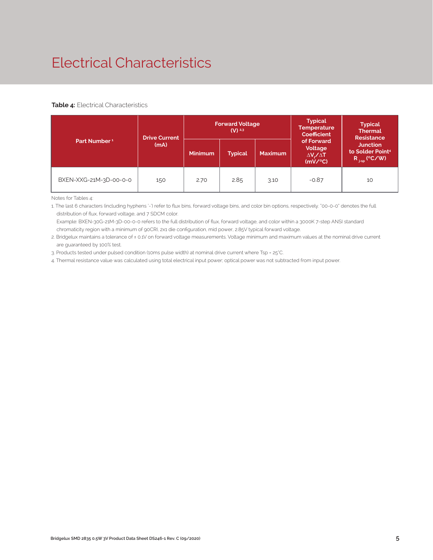# Electrical Characteristics

#### **Table 4:** Electrical Characteristics

|                          | <b>Drive Current</b> |                | <b>Forward Voltage</b><br>$(V)$ <sup>2,3</sup> |                | <b>Typical</b><br><b>Temperature</b><br><b>Coefficient</b>  | <b>Typical</b><br><b>Thermal</b><br><b>Resistance</b><br><b>Junction</b><br>to Solder Point <sup>4</sup><br>$R_{j-sp}$ (°C/W) |  |
|--------------------------|----------------------|----------------|------------------------------------------------|----------------|-------------------------------------------------------------|-------------------------------------------------------------------------------------------------------------------------------|--|
| Part Number <sup>1</sup> | (mA)                 | <b>Minimum</b> | <b>Typical</b>                                 | <b>Maximum</b> | of Forward<br>Voltage<br>$\Delta V \sim \Delta T$<br>(mV/C) |                                                                                                                               |  |
| BXEN-XXG-21M-3D-00-0-0   | 150                  | 2.70           | 2.85                                           | 3.10           | $-0.87$                                                     | 10                                                                                                                            |  |

Notes for Tables 4:

1. The last 6 characters (including hyphens '-') refer to flux bins, forward voltage bins, and color bin options, respectively. "00-0-0" denotes the full distribution of flux, forward voltage, and 7 SDCM color.

 Example: BXEN-30G-21M-3D-00-0-0 refers to the full distribution of flux, forward voltage, and color within a 3000K 7-step ANSI standard chromaticity region with a minimum of 90CRI, 2x1 die configuration, mid power, 2.85V typical forward voltage.

2. Bridgelux maintains a tolerance of ± 0.1V on forward voltage measurements. Voltage minimum and maximum values at the nominal drive current are guaranteed by 100% test.

3. Products tested under pulsed condition (10ms pulse width) at nominal drive current where Tsp = 25°C.

4. Thermal resistance value was calculated using total electrical input power; optical power was not subtracted from input power.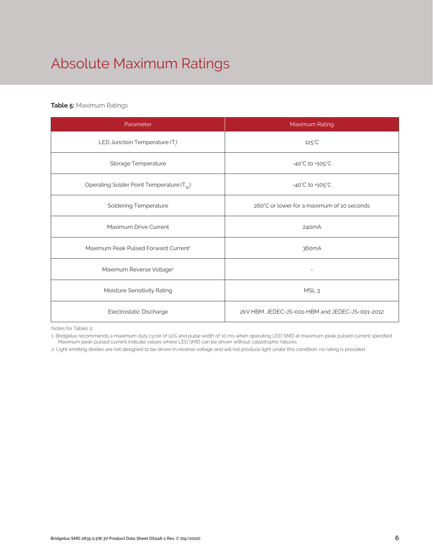# Absolute Maximum Ratings

#### **Table 5:** Maximum Ratings

| Parameter                                             | Maximum Rating                                  |  |  |  |  |
|-------------------------------------------------------|-------------------------------------------------|--|--|--|--|
| LED Junction Temperature (T <sub>i</sub> )            | $125^{\circ}$ C                                 |  |  |  |  |
| Storage Temperature                                   | $-40^{\circ}$ C to $+105^{\circ}$ C             |  |  |  |  |
| Operating Solder Point Temperature (T <sub>SD</sub> ) | $-40^{\circ}$ C to $+105^{\circ}$ C             |  |  |  |  |
| <b>Soldering Temperature</b>                          | 260°C or lower for a maximum of 10 seconds      |  |  |  |  |
| Maximum Drive Current                                 | 240 <sub>m</sub> A                              |  |  |  |  |
| Maximum Peak Pulsed Forward Current <sup>1</sup>      | 360 <sub>m</sub> A                              |  |  |  |  |
| Maximum Reverse Voltage <sup>2</sup>                  |                                                 |  |  |  |  |
| Moisture Sensitivity Rating                           | MSL <sub>3</sub>                                |  |  |  |  |
| Electrostatic Discharge                               | 2kV HBM. JEDEC-JS-001-HBM and JEDEC-JS-001-2012 |  |  |  |  |

Notes for Tables 5:

1. Bridgelux recommends a maximum duty cycle of 10% and pulse width of 10 ms when operating LED SMD at maximum peak pulsed current specified. Maximum peak pulsed current indicate values where LED SMD can be driven without catastrophic failures.

2. Light emitting diodes are not designed to be driven in reverse voltage and will not produce light under this condition. no rating is provided.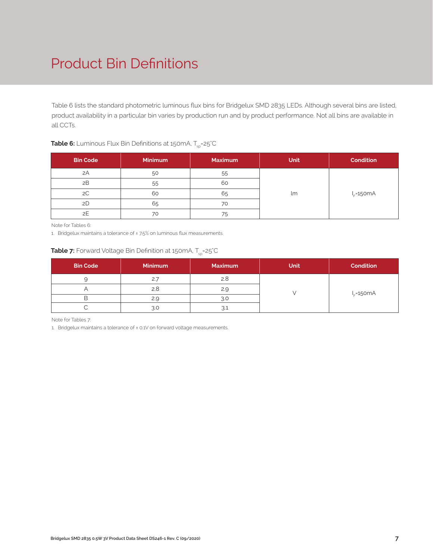## Product Bin Definitions

Table 6 lists the standard photometric luminous flux bins for Bridgelux SMD 2835 LEDs. Although several bins are listed, product availability in a particular bin varies by production run and by product performance. Not all bins are available in all CCTs.

| <b>Bin Code</b> | <b>Minimum</b> | <b>Maximum</b> | <b>Unit</b> | <b>Condition</b> |  |
|-----------------|----------------|----------------|-------------|------------------|--|
| 2A              | 50             | 55             |             |                  |  |
| 2B              | 55             | 60             |             | $I_F = 150mA$    |  |
| 2C              | 60             | 65             | lm          |                  |  |
| 2D              | 65             | 70             |             |                  |  |
| 2E              | 70             | 75             |             |                  |  |

### **Table 6:** Luminous Flux Bin Definitions at 150mA, T<sub>sp</sub>=25°C

Note for Tables 6:

1. Bridgelux maintains a tolerance of ±7.5% on luminous flux measurements.

### **Table 7:** Forward Voltage Bin Definition at 150mA, T<sub>sp</sub>=25°C

| <b>Bin Code</b> | <b>Minimum</b> | <b>Maximum</b> | <b>Unit</b> | <b>Condition</b> |  |
|-----------------|----------------|----------------|-------------|------------------|--|
|                 | 2.7            | 2.8            |             |                  |  |
|                 | 2.8            | 2.9            |             | $I_F = 150mA$    |  |
|                 | 2.9            | R.C            |             |                  |  |
|                 | 3.C            |                |             |                  |  |

Note for Tables 7:

1. Bridgelux maintains a tolerance of ± 0.1V on forward voltage measurements.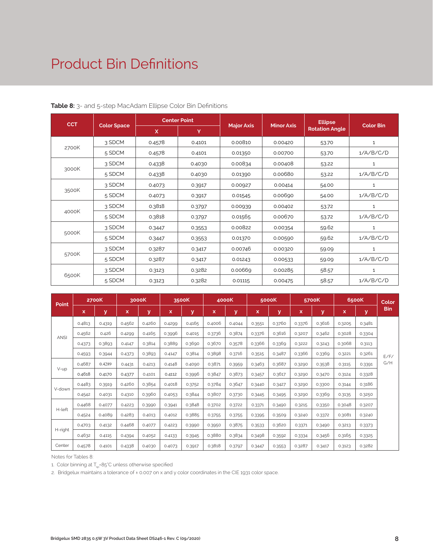### Product Bin Definitions

| <b>CCT</b> |                    |        | <b>Center Point</b> |                   |                   | <b>Ellipse</b>        |                  |
|------------|--------------------|--------|---------------------|-------------------|-------------------|-----------------------|------------------|
|            | <b>Color Space</b> | X      | Y                   | <b>Major Axis</b> | <b>Minor Axis</b> | <b>Rotation Angle</b> | <b>Color Bin</b> |
|            | 3 SDCM             | 0.4578 | 0.4101              | 0.00810           | 0.00420           | 53.70                 | $\mathbf{1}$     |
| 2700K      | 5 SDCM             | 0.4578 | 0.4101              | 0.01350           | 0.00700           | 53.70                 | 1/A/B/C/D        |
|            | 3 SDCM             | 0.4338 | 0.4030              | 0.00834           | 0.00408           | 53.22                 | $\mathbf{1}$     |
| 3000K      | 5 SDCM             | 0.4338 | 0.4030              | 0.01390           | 0.00680           | 53.22                 | 1/A/B/C/D        |
|            | 3 SDCM             | 0.4073 | 0.3917              | 0.00927           | 0.00414           | 54.00                 | 1                |
| 3500K      | 5 SDCM             | 0.4073 | 0.3917              | 0.01545           | 0.00690           | 54.00                 | 1/A/B/C/D        |
|            | 3 SDCM             | 0.3818 | 0.3797              | 0.00939           | 0.00402           | 53.72                 | $\mathbf{1}$     |
| 4000K      | 5 SDCM             | 0.3818 | 0.3797              | 0.01565           | 0.00670           | 53.72                 | 1/A/B/C/D        |
|            | 3 SDCM             | 0.3447 | 0.3553              | 0.00822           | 0.00354           | 59.62                 | 1                |
| 5000K      | 5 SDCM             | 0.3447 | 0.3553              | 0.01370           | 0.00590           | 59.62                 | 1/A/B/C/D        |
|            | 3 SDCM             | 0.3287 | 0.3417              | 0.00746           | 0.00320           | 59.09                 | $\mathbf{1}$     |
| 5700K      | 5 SDCM             | 0.3287 | 0.3417              | 0.01243           | 0.00533           | 59.09                 | 1/A/B/C/D        |
|            | 3 SDCM             | 0.3123 | 0.3282              | 0.00669           | 0.00285           | 58.57                 | $\mathbf{1}$     |
| 6500K      | 5 SDCM             | 0.3123 | 0.3282              | 0.01115           | 0.00475           | 58.57                 | 1/A/B/C/D        |

#### **Table 8:** 3- and 5-step MacAdam Ellipse Color Bin Definitions

| Point       |        | 2700K  | 3000K  |        | 3500K  |        |        | 4000K  |        | 5000K  |        | 5700K  | 6500K  |        | Color      |
|-------------|--------|--------|--------|--------|--------|--------|--------|--------|--------|--------|--------|--------|--------|--------|------------|
|             | x      | У      | x      | У      | x      | y      | x      | y      | x      | У      | x      | У      | x      | У      | <b>Bin</b> |
| <b>ANSI</b> | 0.4813 | 0.4319 | 0.4562 | 0.4260 | 0.4299 | 0.4165 | 0.4006 | 0.4044 | 0.3551 | 0.3760 | 0.3376 | 0.3616 | 0.3205 | 0.3481 |            |
|             | 0.4562 | 0.426  | 0.4299 | 0.4165 | 0.3996 | 0.4015 | 0.3736 | 0.3874 | 0.3376 | 0.3616 | 0.3207 | 0.3462 | 0.3028 | 0.3304 |            |
|             | 0.4373 | 0.3893 | 0.4147 | 0.3814 | 0.3889 | 0.3690 | 0.3670 | 0.3578 | 0.3366 | 0.3369 | 0.3222 | 0.3243 | 0.3068 | 0.3113 |            |
|             | 0.4593 | 0.3944 | 0.4373 | 0.3893 | 0.4147 | 0.3814 | 0.3898 | 0.3716 | 0.3515 | 0.3487 | 0.3366 | 0.3369 | 0.3221 | 0.3261 | E/F/       |
| V-up        | 0.4687 | 0.4289 | 0.4431 | 0.4213 | 0.4148 | 0.4090 | 0.3871 | 0.3959 | 0.3463 | 0.3687 | 0.3290 | 0.3538 | 0.3115 | 0.3391 | G/H        |
|             | 0.4618 | 0.4170 | 0.4377 | 0.4101 | 0.4112 | 0.3996 | 0.3847 | 0.3873 | 0.3457 | 0.3617 | 0.3290 | 0.3470 | 0.3124 | 0.3328 |            |
|             | 0.4483 | 0.3919 | 0.4260 | 0.3854 | 0.4018 | 0.3752 | 0.3784 | 0.3647 | 0.3440 | 0.3427 | 0.3290 | 0.3300 | 0.3144 | 0.3186 |            |
| V-down      | 0.4542 | 0.4031 | 0.4310 | 0.3960 | 0.4053 | 0.3844 | 0.3807 | 0.3730 | 0.3445 | 0.3495 | 0.3290 | 0.3369 | 0.3135 | 0.3250 |            |
|             | 0.4468 | 0.4077 | 0.4223 | 0.3990 | 0.3941 | 0.3848 | 0.3702 | 0.3722 | 0.3371 | 0.3490 | 0.3215 | 0.3350 | 0.3048 | 0.3207 |            |
| H-left      | 0.4524 | 0.4089 | 0.4283 | 0.4013 | 0.4012 | 0.3885 | 0.3755 | 0.3755 | 0.3395 | 0.3509 | 0.3240 | 0.3372 | 0.3081 | 0.3240 |            |
|             | 0.4703 | 0.4132 | 0.4468 | 0.4077 | 0.4223 | 0.3990 | 0.3950 | 0.3875 | 0.3533 | 0.3620 | 0.3371 | 0.3490 | 0.3213 | 0.3373 |            |
| H-right     | 0.4632 | 0.4115 | 0.4394 | 0.4052 | 0.4133 | 0.3945 | 0.3880 | 0.3834 | 0.3498 | 0.3592 | 0.3334 | 0.3456 | 0.3165 | 0.3325 |            |
| Center      | 0.4578 | 0.4101 | 0.4338 | 0.4030 | 0.4073 | 0.3917 | 0.3818 | 0.3797 | 0.3447 | 0.3553 | 0.3287 | 0.3417 | 0.3123 | 0.3282 |            |

Notes for Tables 8:

1. Color binning at  $T_{\text{ex}}$ =85°C unless otherwise specified

2. Bridgelux maintains a tolerance of ± 0.007 on x and y color coordinates in the CIE 1931 color space.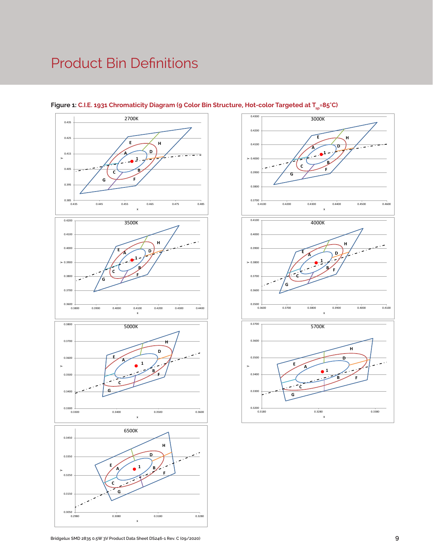### Product Bin Definitions



### Figure 1: C.I.E. 1931 Chromaticity Diagram (9 Color Bin Structure, Hot-color Targeted at T<sub>sp</sub>=85°C)

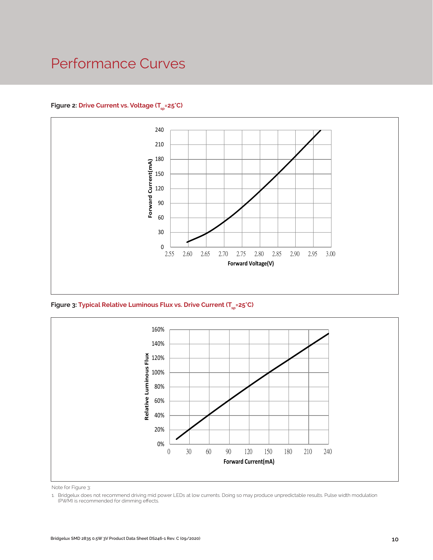### Performance Curves

### Figure 2: Drive Current vs. Voltage (T<sub>SD</sub>=25°C)



Figure 3: Typical Relative Luminous Flux vs. Drive Current (T<sub>sp</sub>=25°C)



Note for Figure 3:

<sup>1.</sup> Bridgelux does not recommend driving mid power LEDs at low currents. Doing so may produce unpredictable results. Pulse width modulation (PWM) is recommended for dimming effects.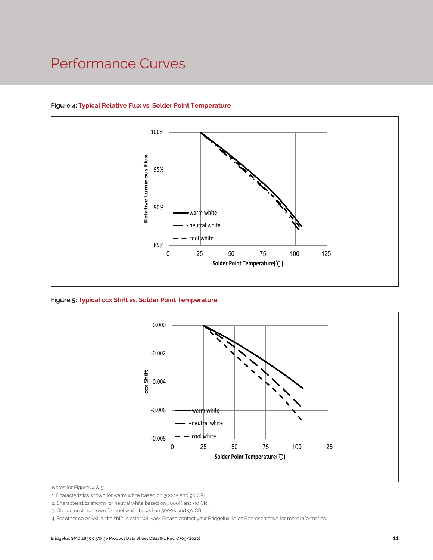### Performance Curves



### **Figure 4: Typical Relative Flux vs. Solder Point Temperature**

**Figure 5: Typical ccx Shift vs. Solder Point Temperature**



Notes for Figures 4 & 5:

2. Characteristics shown for neutral white based on 4000K and 90 CRI.

4. For other color SKUs, the shift in color will vary. Please contact your Bridgelux Sales Representative for more information.

<sup>1.</sup> Characteristics shown for warm white based on 3000K and 90 CRI.

<sup>3.</sup> Characteristics shown for cool white based on 5000K and 90 CRI.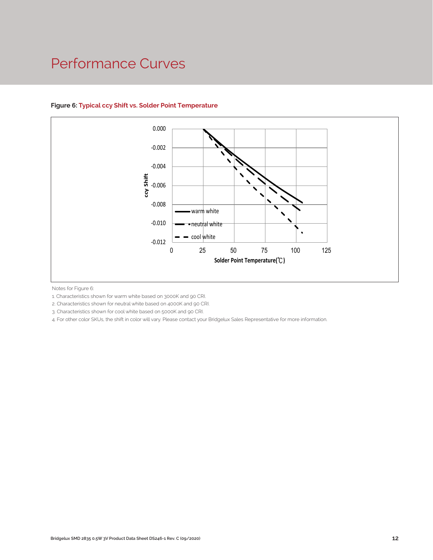### Performance Curves



### **Figure 6: Typical ccy Shift vs. Solder Point Temperature**

Notes for Figure 6:

1. Characteristics shown for warm white based on 3000K and 90 CRI.

2. Characteristics shown for neutral white based on 4000K and 90 CRI.

3. Characteristics shown for cool white based on 5000K and 90 CRI.

4. For other color SKUs, the shift in color will vary. Please contact your Bridgelux Sales Representative for more information.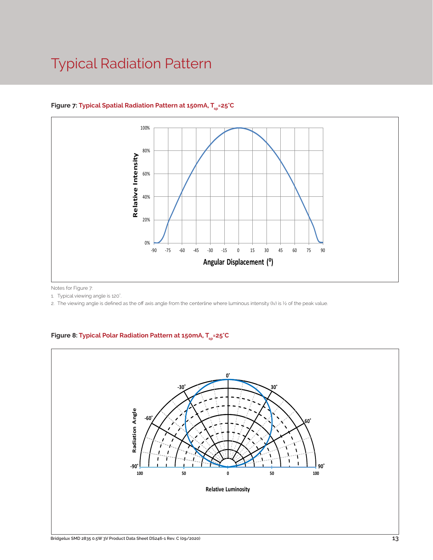### Typical Radiation Pattern



### Figure 7: Typical Spatial Radiation Pattern at 150mA, T<sub>sp</sub>=25°C

Notes for Figure 7:

1. Typical viewing angle is 120°.

2. The viewing angle is defined as the off axis angle from the centerline where luminous intensity (Iv) is ½ of the peak value.

### Figure 8: Typical Polar Radiation Pattern at 150mA, T<sub>sp</sub>=25°C

.

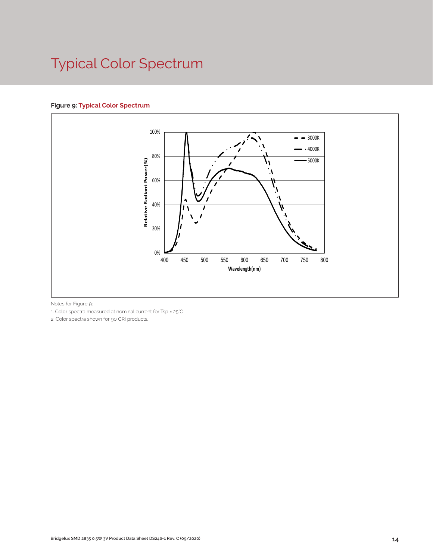# Typical Color Spectrum

### **Figure 9: Typical Color Spectrum**



Notes for Figure 9:

1. Color spectra measured at nominal current for Tsp = 25°C

2. Color spectra shown for 90 CRI products.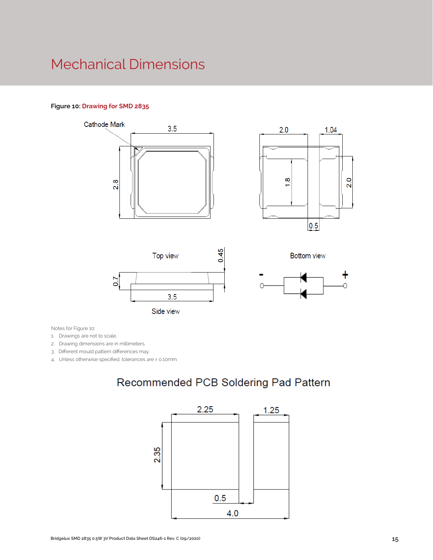### Mechanical Dimensions

#### **Figure 10: Drawing for SMD 2835**













Notes for Figure 10:

1. Drawings are not to scale.

2. Drawing dimensions are in millimeters.

3. Different mould pattern differences may.

4. Unless otherwise specified, tolerances are ± 0.10mm.

### Recommended PCB Soldering Pad Pattern

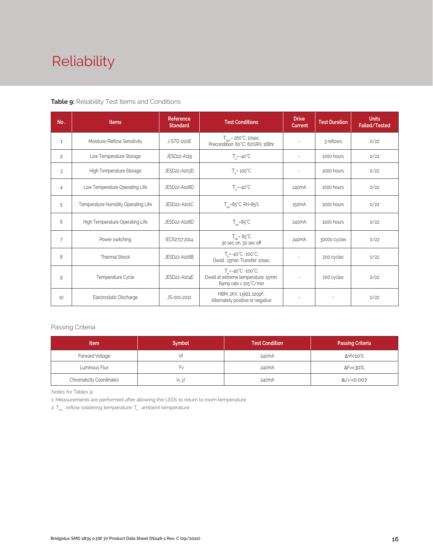# Reliability

#### **Table 9:** Reliability Test Items and Conditions

| No.            | <b>Items</b>                        | <b>Reference</b><br><b>Standard</b>  | <b>Test Conditions</b>                                                                                    | <b>Drive</b><br><b>Current</b> | <b>Test Duration</b> | <b>Units</b><br>Failed/Tested |
|----------------|-------------------------------------|--------------------------------------|-----------------------------------------------------------------------------------------------------------|--------------------------------|----------------------|-------------------------------|
| $\mathbf{1}$   | Moisture/Reflow Sensitivity         | J-STD-020E                           | $T_{\text{cld}}$ = 260°C, 10sec,<br>Precondition: 60°C, 60%RH, 168hr                                      | $\overline{\phantom{a}}$       | 3 reflows            | 0/22                          |
| 2              | Low Temperature Storage             | JESD22-A119                          | $T_a = -40^{\circ}C$                                                                                      | $\overline{\phantom{a}}$       | 1000 hours           | 0/22                          |
| 3              | High Temperature Storage            | JESD22-A103D                         | $T_a = 100^{\circ}$ C                                                                                     |                                | 1000 hours           | 0/22                          |
| 4              | Low Temperature Operating Life      | JESD22-A108D<br>$T_s = -40^{\circ}C$ |                                                                                                           | 240 <sub>m</sub> A             | 1000 hours           | 0/22                          |
| 5              | Temperature Humidity Operating Life | JESD22-A101C                         | $T_{\rm sn}$ =85°C, RH=85%                                                                                | 150 <sub>m</sub> A             | 1000 hours           | 0/22                          |
| 6              | High Temperature Operating Life     | JESD22-A108D                         | $T_{\rm SD} = 85^{\circ}C$                                                                                | 240 <sub>m</sub> A             | 1000 hours           | 0/22                          |
| $\overline{7}$ | Power switching                     | IEC62717:2014                        | $T_{\rm sn}$ = 85°C<br>30 sec on, 30 sec off                                                              | 240 <sub>m</sub> A             | 30000 cycles         | 0/22                          |
| 8              | Thermal Shock                       | JESD22-A106B                         | $T = -40^{\circ}C - 100^{\circ}C$ ;<br>Dwell: 15min; Transfer: 10sec                                      |                                | 200 cycles           | 0/22                          |
| 9              | Temperature Cycle<br>JESD22-A104E   |                                      | $T_a = -40^{\circ}C \sim 100^{\circ}C$ ;<br>Dwell at extreme temperature: 15min;<br>Ramp rate < 105°C/min |                                | 200 cycles           | 0/22                          |
| 10             | Electrostatic Discharge             | JS-001-2012                          | HBM, $2KV$ , $1.5k\Omega$ , 100pF,<br>Alternately positive or negative                                    |                                |                      | 0/22                          |

### Passing Criteria

| <b>Item</b>                     | <b>Symbol</b> | <b>Test Condition</b> | <b>Passing Criteria</b> |
|---------------------------------|---------------|-----------------------|-------------------------|
| Forward Voltage                 |               | 240 <sub>m</sub> A    | ΔVf<10%                 |
| Luminous Flux                   | ۲v            | 240mA                 | ΔFν<30%                 |
| <b>Chromaticity Coordinates</b> | (x, y)        | 240mA                 | Δu'v'<0.007             |

Notes for Tables 9:

1. Measurements are performed after allowing the LEDs to return to room temperature

2.  $\mathsf{T}_{\mathsf{std}}$  : reflow soldering temperature;  $\mathsf{T}_{\mathsf{g}}$  : ambient temperature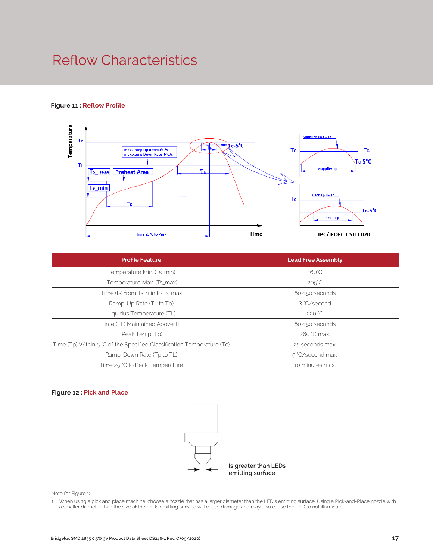### Reflow Characteristics

#### **Figure 11 : Reflow Profile**



| <b>Profile Feature</b>                                                 | <b>Lead Free Assembly</b> |  |
|------------------------------------------------------------------------|---------------------------|--|
| Temperature Min. (Ts_min)                                              | $160^{\circ}$ C           |  |
| Temperature Max. (Ts_max)                                              | $205^{\circ}$ C           |  |
| Time (ts) from Ts_min to Ts_max                                        | 60-150 seconds            |  |
| Ramp-Up Rate (TL to Tp)                                                | 3 °C/second               |  |
| Liquidus Temperature (TL)                                              | 220 °C                    |  |
| Time (TL) Maintained Above TL                                          | 60-150 seconds            |  |
| Peak Temp(Tp)                                                          | 260 °C max.               |  |
| Time (Tp) Within 5 °C of the Specified Classification Temperature (Tc) | 25 seconds max.           |  |
| Ramp-Down Rate (Tp to TL)                                              | 5 °C/second max.          |  |
| Time 25 °C to Peak Temperature                                         | 10 minutes max.           |  |

#### **Figure 12 : Pick and Place**



Note for Figure 12:

1. When using a pick and place machine, choose a nozzle that has a larger diameter than the LED's emitting surface. Using a Pick-and-Place nozzle with a smaller diameter than the size of the LEDs emitting surface will cause damage and may also cause the LED to not illuminate.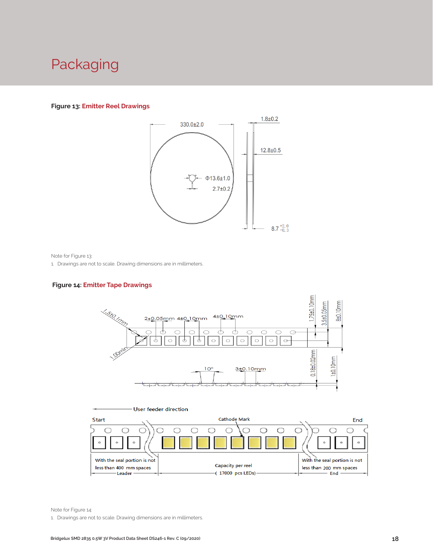### Packaging

#### **Figure 13: Emitter Reel Drawings**



Note for Figure 13:

1. Drawings are not to scale. Drawing dimensions are in millimeters.

### **Figure 14: Emitter Tape Drawings**





Note for Figure 14:

1. Drawings are not to scale. Drawing dimensions are in millimeters.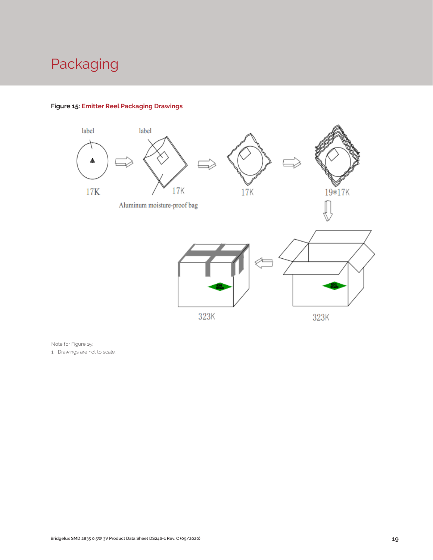# Packaging



### **Figure 15: Emitter Reel Packaging Drawings**

Note for Figure 15:

1. Drawings are not to scale.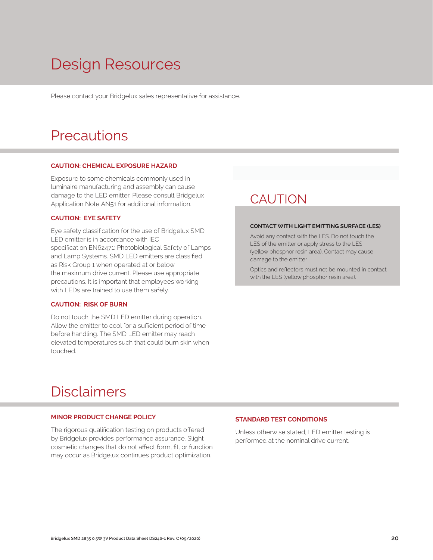# Design Resources

Please contact your Bridgelux sales representative for assistance.

### **Precautions**

#### **CAUTION: CHEMICAL EXPOSURE HAZARD**

Exposure to some chemicals commonly used in luminaire manufacturing and assembly can cause damage to the LED emitter. Please consult Bridgelux Application Note AN51 for additional information.

#### **CAUTION: EYE SAFETY**

Eye safety classification for the use of Bridgelux SMD LED emitter is in accordance with IEC specification EN62471: Photobiological Safety of Lamps and Lamp Systems. SMD LED emitters are classified as Risk Group 1 when operated at or below the maximum drive current. Please use appropriate precautions. It is important that employees working with LEDs are trained to use them safely.

#### **CAUTION: RISK OF BURN**

Do not touch the SMD LED emitter during operation. Allow the emitter to cool for a sufficient period of time before handling. The SMD LED emitter may reach elevated temperatures such that could burn skin when touched.

### **CAUTION**

#### **CONTACT WITH LIGHT EMITTING SURFACE (LES)**

Avoid any contact with the LES. Do not touch the LES of the emitter or apply stress to the LES (yellow phosphor resin area). Contact may cause damage to the emitter

Optics and reflectors must not be mounted in contact with the LES (yellow phosphor resin area).

### Disclaimers

#### **MINOR PRODUCT CHANGE POLICY**

The rigorous qualification testing on products offered by Bridgelux provides performance assurance. Slight cosmetic changes that do not affect form, fit, or function may occur as Bridgelux continues product optimization.

#### **STANDARD TEST CONDITIONS**

Unless otherwise stated, LED emitter testing is performed at the nominal drive current.